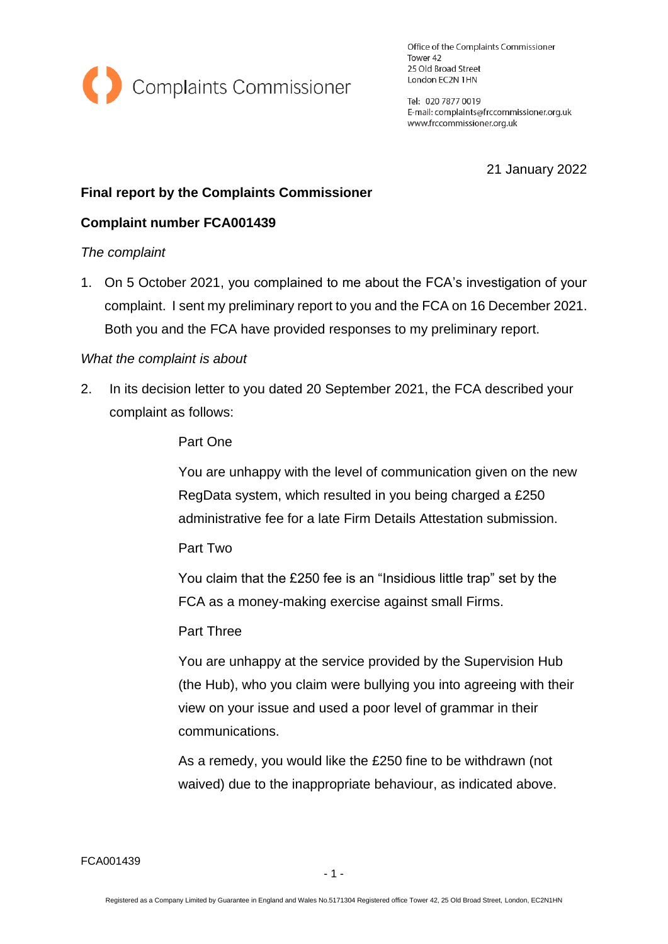

Office of the Complaints Commissioner Tower 42 25 Old Broad Street London EC2N 1HN

Tel: 020 7877 0019 E-mail: complaints@frccommissioner.org.uk www.frccommissioner.org.uk

21 January 2022

### **Final report by the Complaints Commissioner**

## **Complaint number FCA001439**

#### *The complaint*

1. On 5 October 2021, you complained to me about the FCA's investigation of your complaint. I sent my preliminary report to you and the FCA on 16 December 2021. Both you and the FCA have provided responses to my preliminary report.

#### *What the complaint is about*

2. In its decision letter to you dated 20 September 2021, the FCA described your complaint as follows:

#### Part One

You are unhappy with the level of communication given on the new RegData system, which resulted in you being charged a £250 administrative fee for a late Firm Details Attestation submission.

#### Part Two

You claim that the £250 fee is an "Insidious little trap" set by the FCA as a money-making exercise against small Firms.

#### Part Three

You are unhappy at the service provided by the Supervision Hub (the Hub), who you claim were bullying you into agreeing with their view on your issue and used a poor level of grammar in their communications.

As a remedy, you would like the £250 fine to be withdrawn (not waived) due to the inappropriate behaviour, as indicated above.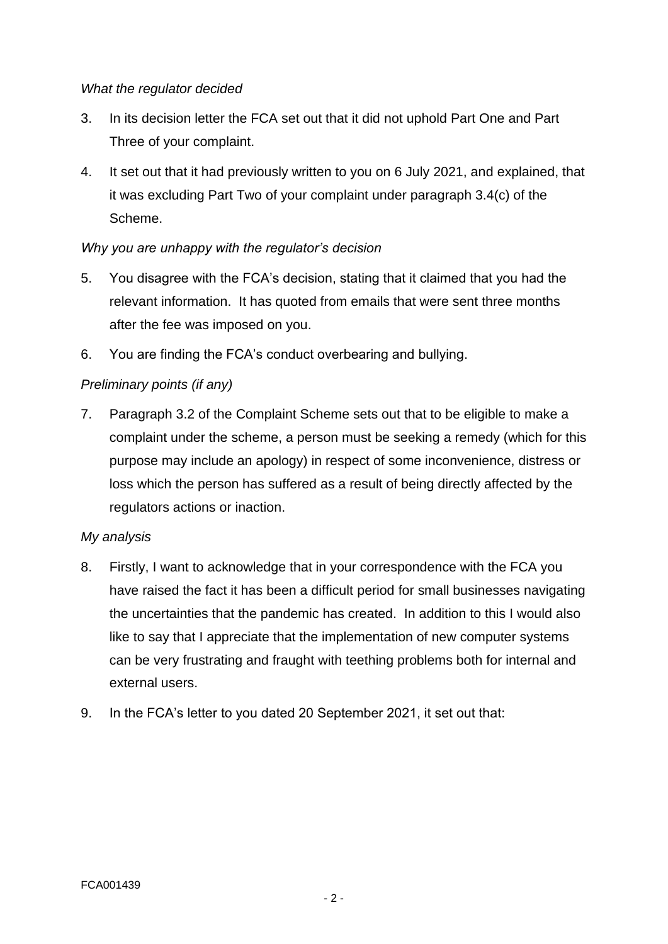## *What the regulator decided*

- 3. In its decision letter the FCA set out that it did not uphold Part One and Part Three of your complaint.
- 4. It set out that it had previously written to you on 6 July 2021, and explained, that it was excluding Part Two of your complaint under paragraph 3.4(c) of the Scheme.

# *Why you are unhappy with the regulator's decision*

- 5. You disagree with the FCA's decision, stating that it claimed that you had the relevant information. It has quoted from emails that were sent three months after the fee was imposed on you.
- 6. You are finding the FCA's conduct overbearing and bullying.

# *Preliminary points (if any)*

7. Paragraph 3.2 of the Complaint Scheme sets out that to be eligible to make a complaint under the scheme, a person must be seeking a remedy (which for this purpose may include an apology) in respect of some inconvenience, distress or loss which the person has suffered as a result of being directly affected by the regulators actions or inaction.

# *My analysis*

- 8. Firstly, I want to acknowledge that in your correspondence with the FCA you have raised the fact it has been a difficult period for small businesses navigating the uncertainties that the pandemic has created. In addition to this I would also like to say that I appreciate that the implementation of new computer systems can be very frustrating and fraught with teething problems both for internal and external users.
- 9. In the FCA's letter to you dated 20 September 2021, it set out that: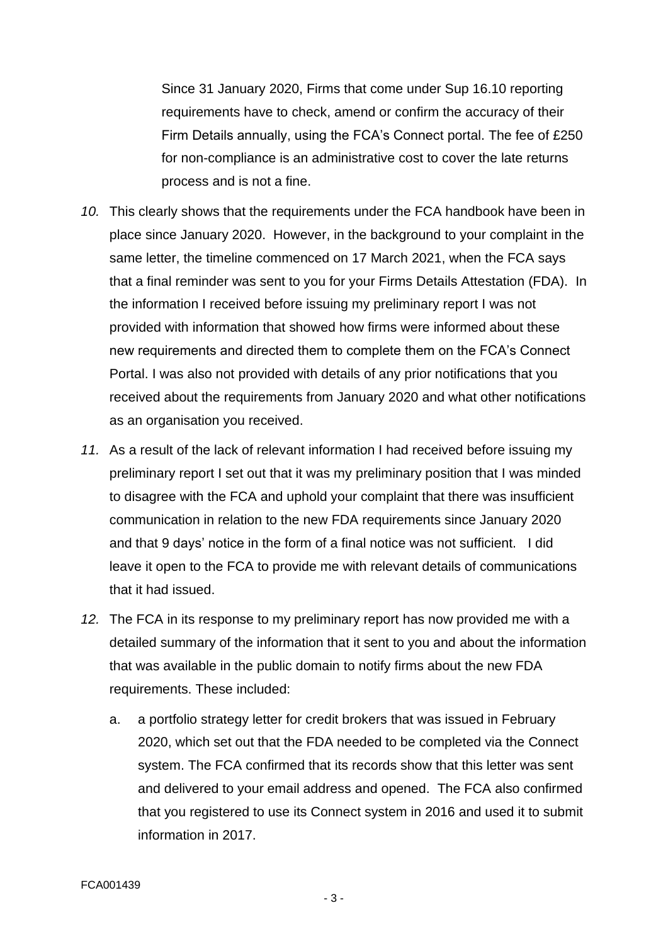Since 31 January 2020, Firms that come under Sup 16.10 reporting requirements have to check, amend or confirm the accuracy of their Firm Details annually, using the FCA's Connect portal. The fee of £250 for non-compliance is an administrative cost to cover the late returns process and is not a fine.

- *10.* This clearly shows that the requirements under the FCA handbook have been in place since January 2020. However, in the background to your complaint in the same letter, the timeline commenced on 17 March 2021, when the FCA says that a final reminder was sent to you for your Firms Details Attestation (FDA). In the information I received before issuing my preliminary report I was not provided with information that showed how firms were informed about these new requirements and directed them to complete them on the FCA's Connect Portal. I was also not provided with details of any prior notifications that you received about the requirements from January 2020 and what other notifications as an organisation you received.
- *11.* As a result of the lack of relevant information I had received before issuing my preliminary report I set out that it was my preliminary position that I was minded to disagree with the FCA and uphold your complaint that there was insufficient communication in relation to the new FDA requirements since January 2020 and that 9 days' notice in the form of a final notice was not sufficient. I did leave it open to the FCA to provide me with relevant details of communications that it had issued.
- *12.* The FCA in its response to my preliminary report has now provided me with a detailed summary of the information that it sent to you and about the information that was available in the public domain to notify firms about the new FDA requirements. These included:
	- a. a portfolio strategy letter for credit brokers that was issued in February 2020, which set out that the FDA needed to be completed via the Connect system. The FCA confirmed that its records show that this letter was sent and delivered to your email address and opened. The FCA also confirmed that you registered to use its Connect system in 2016 and used it to submit information in 2017.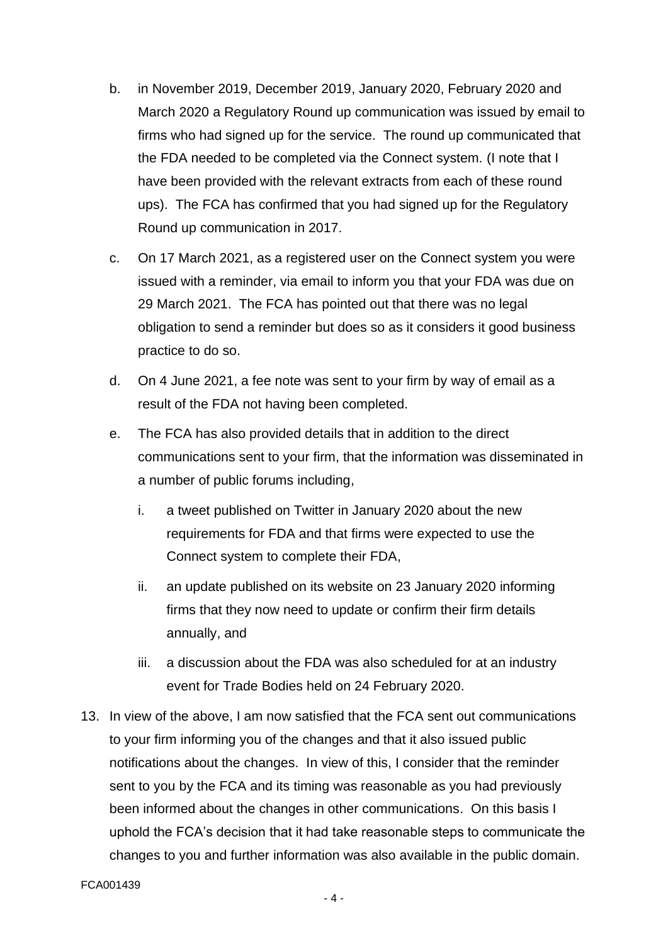- b. in November 2019, December 2019, January 2020, February 2020 and March 2020 a Regulatory Round up communication was issued by email to firms who had signed up for the service. The round up communicated that the FDA needed to be completed via the Connect system. (I note that I have been provided with the relevant extracts from each of these round ups). The FCA has confirmed that you had signed up for the Regulatory Round up communication in 2017.
- c. On 17 March 2021, as a registered user on the Connect system you were issued with a reminder, via email to inform you that your FDA was due on 29 March 2021. The FCA has pointed out that there was no legal obligation to send a reminder but does so as it considers it good business practice to do so.
- d. On 4 June 2021, a fee note was sent to your firm by way of email as a result of the FDA not having been completed.
- e. The FCA has also provided details that in addition to the direct communications sent to your firm, that the information was disseminated in a number of public forums including,
	- i. a tweet published on Twitter in January 2020 about the new requirements for FDA and that firms were expected to use the Connect system to complete their FDA,
	- ii. an update published on its website on 23 January 2020 informing firms that they now need to update or confirm their firm details annually, and
	- iii. a discussion about the FDA was also scheduled for at an industry event for Trade Bodies held on 24 February 2020.
- 13. In view of the above, I am now satisfied that the FCA sent out communications to your firm informing you of the changes and that it also issued public notifications about the changes. In view of this, I consider that the reminder sent to you by the FCA and its timing was reasonable as you had previously been informed about the changes in other communications. On this basis I uphold the FCA's decision that it had take reasonable steps to communicate the changes to you and further information was also available in the public domain.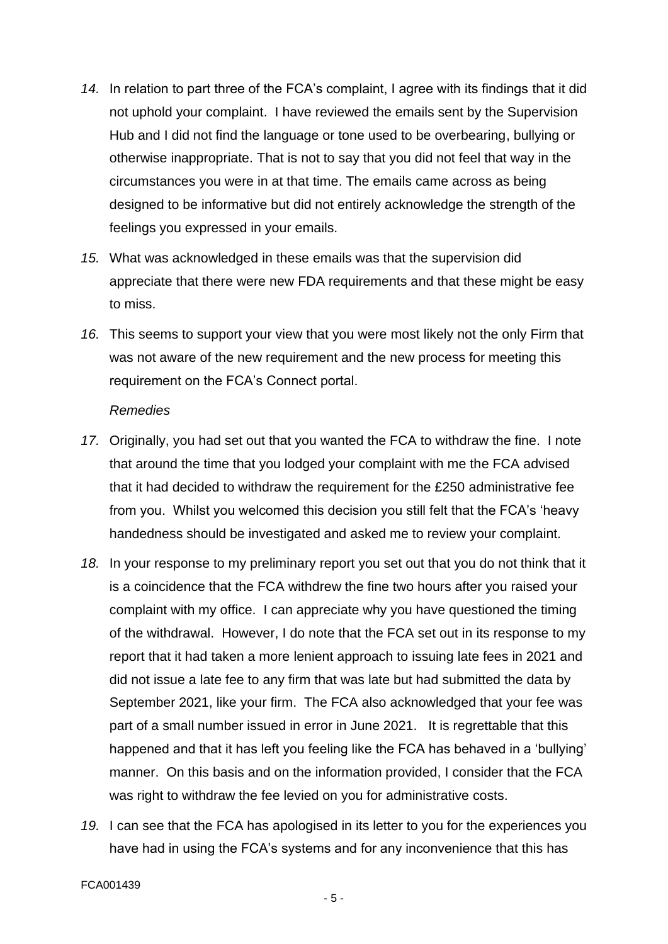- *14.* In relation to part three of the FCA's complaint, I agree with its findings that it did not uphold your complaint. I have reviewed the emails sent by the Supervision Hub and I did not find the language or tone used to be overbearing, bullying or otherwise inappropriate. That is not to say that you did not feel that way in the circumstances you were in at that time. The emails came across as being designed to be informative but did not entirely acknowledge the strength of the feelings you expressed in your emails.
- *15.* What was acknowledged in these emails was that the supervision did appreciate that there were new FDA requirements and that these might be easy to miss.
- *16.* This seems to support your view that you were most likely not the only Firm that was not aware of the new requirement and the new process for meeting this requirement on the FCA's Connect portal.

#### *Remedies*

- *17.* Originally, you had set out that you wanted the FCA to withdraw the fine. I note that around the time that you lodged your complaint with me the FCA advised that it had decided to withdraw the requirement for the £250 administrative fee from you. Whilst you welcomed this decision you still felt that the FCA's 'heavy handedness should be investigated and asked me to review your complaint.
- *18.* In your response to my preliminary report you set out that you do not think that it is a coincidence that the FCA withdrew the fine two hours after you raised your complaint with my office. I can appreciate why you have questioned the timing of the withdrawal. However, I do note that the FCA set out in its response to my report that it had taken a more lenient approach to issuing late fees in 2021 and did not issue a late fee to any firm that was late but had submitted the data by September 2021, like your firm. The FCA also acknowledged that your fee was part of a small number issued in error in June 2021. It is regrettable that this happened and that it has left you feeling like the FCA has behaved in a 'bullying' manner. On this basis and on the information provided, I consider that the FCA was right to withdraw the fee levied on you for administrative costs.
- *19.* I can see that the FCA has apologised in its letter to you for the experiences you have had in using the FCA's systems and for any inconvenience that this has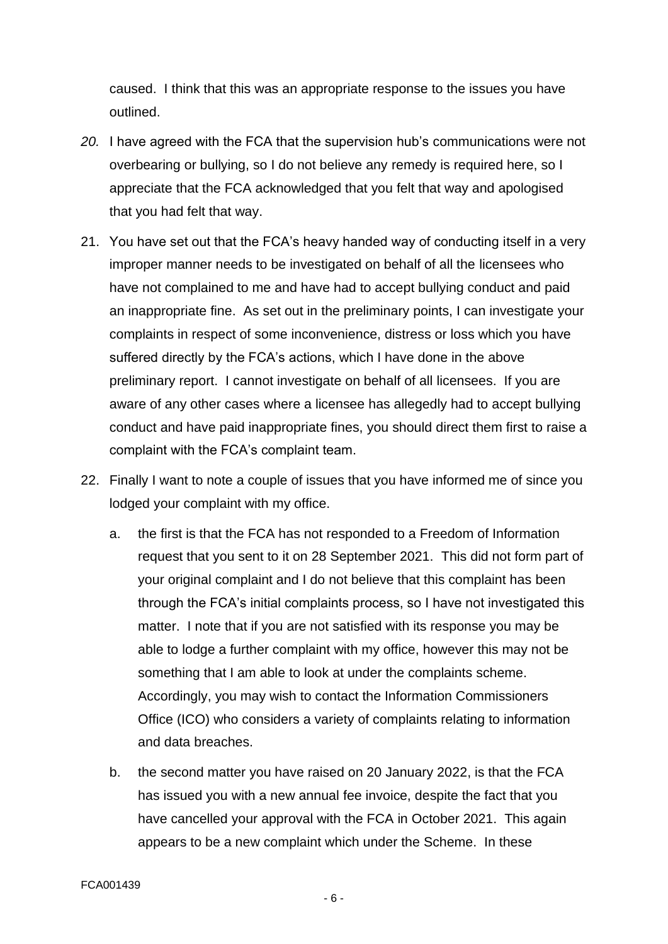caused. I think that this was an appropriate response to the issues you have outlined.

- *20.* I have agreed with the FCA that the supervision hub's communications were not overbearing or bullying, so I do not believe any remedy is required here, so I appreciate that the FCA acknowledged that you felt that way and apologised that you had felt that way.
- 21. You have set out that the FCA's heavy handed way of conducting itself in a very improper manner needs to be investigated on behalf of all the licensees who have not complained to me and have had to accept bullying conduct and paid an inappropriate fine. As set out in the preliminary points, I can investigate your complaints in respect of some inconvenience, distress or loss which you have suffered directly by the FCA's actions, which I have done in the above preliminary report. I cannot investigate on behalf of all licensees. If you are aware of any other cases where a licensee has allegedly had to accept bullying conduct and have paid inappropriate fines, you should direct them first to raise a complaint with the FCA's complaint team.
- 22. Finally I want to note a couple of issues that you have informed me of since you lodged your complaint with my office.
	- a. the first is that the FCA has not responded to a Freedom of Information request that you sent to it on 28 September 2021. This did not form part of your original complaint and I do not believe that this complaint has been through the FCA's initial complaints process, so I have not investigated this matter. I note that if you are not satisfied with its response you may be able to lodge a further complaint with my office, however this may not be something that I am able to look at under the complaints scheme. Accordingly, you may wish to contact the Information Commissioners Office (ICO) who considers a variety of complaints relating to information and data breaches.
	- b. the second matter you have raised on 20 January 2022, is that the FCA has issued you with a new annual fee invoice, despite the fact that you have cancelled your approval with the FCA in October 2021. This again appears to be a new complaint which under the Scheme. In these